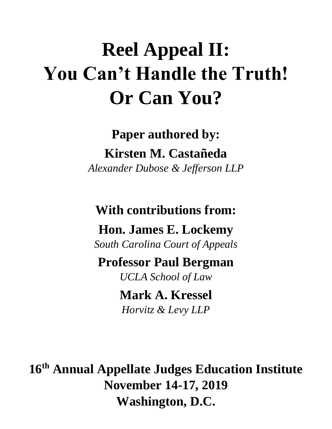# **Reel Appeal II: You Can't Handle the Truth! Or Can You?**

**Paper authored by: Kirsten M. Castañeda** *Alexander Dubose & Jefferson LLP*

**With contributions from:**

**Hon. James E. Lockemy**

*South Carolina Court of Appeals*

**Professor Paul Bergman**

*UCLA School of Law*

**Mark A. Kressel** *Horvitz & Levy LLP*

**16 th Annual Appellate Judges Education Institute November 14-17, 2019 Washington, D.C.**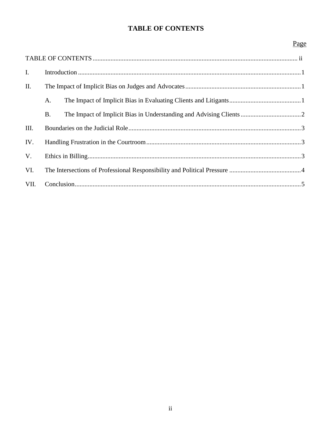# **TABLE OF CONTENTS**

# Page

| $\mathbf{I}$ . |           |  |  |
|----------------|-----------|--|--|
| II.            |           |  |  |
|                | A.        |  |  |
|                | <b>B.</b> |  |  |
| III.           |           |  |  |
| IV.            |           |  |  |
| V.             |           |  |  |
| VI.            |           |  |  |
| VII.           |           |  |  |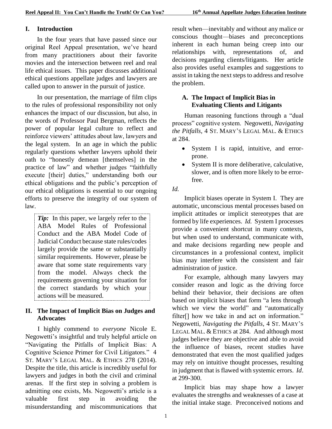#### <span id="page-2-0"></span>**I. Introduction**

In the four years that have passed since our original Reel Appeal presentation, we've heard from many practitioners about their favorite movies and the intersection between reel and real life ethical issues. This paper discusses additional ethical questions appellate judges and lawyers are called upon to answer in the pursuit of justice.

In our presentation, the marriage of film clips to the rules of professional responsibility not only enhances the impact of our discussion, but also, in the words of Professor Paul Bergman, reflects the power of popular legal culture to reflect and reinforce viewers' attitudes about law, lawyers and the legal system. In an age in which the public regularly questions whether lawyers uphold their oath to "honestly demean [themselves] in the practice of law" and whether judges "faithfully execute [their] duties," understanding both our ethical obligations and the public's perception of our ethical obligations is essential to our ongoing efforts to preserve the integrity of our system of law.

*Tip*: In this paper, we largely refer to the ABA Model Rules of Professional Conduct and the ABA Model Code of Judicial Conduct because state rules/codes largely provide the same or substantially similar requirements. However, please be aware that some state requirements vary from the model. Always check the requirements governing your situation for the correct standards by which your actions will be measured.

#### <span id="page-2-1"></span>**II. The Impact of Implicit Bias on Judges and Advocates**

I highly commend to *everyone* Nicole E. Negowetti's insightful and truly helpful article on "Navigating the Pitfalls of Implicit Bias: A Cognitive Science Primer for Civil Litigators." 4 ST. MARY'S LEGAL MAL. & ETHICS 278 (2014). Despite the title, this article is incredibly useful for lawyers and judges in both the civil and criminal arenas. If the first step in solving a problem is admitting one exists, Ms. Negowetti's article is a valuable first step in avoiding the misunderstanding and miscommunications that

result when—inevitably and without any malice or conscious thought—biases and preconceptions inherent in each human being creep into our relationships with, representations of, and decisions regarding clients/litigants. Her article also provides useful examples and suggestions to assist in taking the next steps to address and resolve the problem.

#### <span id="page-2-2"></span>**A. The Impact of Implicit Bias in Evaluating Clients and Litigants**

Human reasoning functions through a "dual process" cognitive system. Negowetti, *Navigating the Pitfalls*, 4 ST. MARY'S LEGAL MAL. & ETHICS at 284.

- System I is rapid, intuitive, and errorprone.
- System II is more deliberative, calculative, slower, and is often more likely to be errorfree.

*Id.*

Implicit biases operate in System I. They are automatic, unconscious mental processes based on implicit attitudes or implicit stereotypes that are formed by life experiences. *Id.* System I processes provide a convenient shortcut in many contexts, but when used to understand, communicate with, and make decisions regarding new people and circumstances in a professional context, implicit bias may interfere with the consistent and fair administration of justice.

For example, although many lawyers may consider reason and logic as the driving force behind their behavior, their decisions are often based on implicit biases that form "a lens through which we view the world" and "automatically filter[] how we take in and act on information." Negowetti, *Navigating the Pitfalls*, 4 ST. MARY'S LEGAL MAL. & ETHICS at 284. And although most judges believe they are objective and able to avoid the influence of biases, recent studies have demonstrated that even the most qualified judges may rely on intuitive thought processes, resulting in judgment that is flawed with systemic errors. *Id*. at 299-300.

Implicit bias may shape how a lawyer evaluates the strengths and weaknesses of a case at the initial intake stage. Preconceived notions and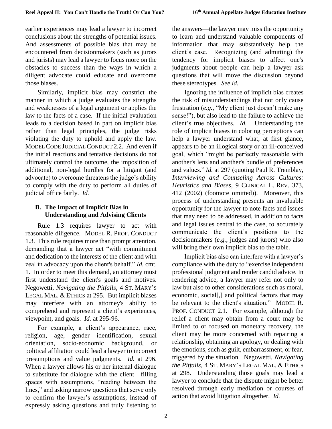earlier experiences may lead a lawyer to incorrect conclusions about the strengths of potential issues. And assessments of possible bias that may be encountered from decisionmakers (such as jurors and jurists) may lead a lawyer to focus more on the obstacles to success than the ways in which a diligent advocate could educate and overcome those biases.

Similarly, implicit bias may constrict the manner in which a judge evaluates the strengths and weaknesses of a legal argument or applies the law to the facts of a case. If the initial evaluation leads to a decision based in part on implicit bias rather than legal principles, the judge risks violating the duty to uphold and apply the law. MODEL CODE JUDICIAL CONDUCT 2.2. And even if the initial reactions and tentative decisions do not ultimately control the outcome, the imposition of additional, non-legal hurdles for a litigant (and advocate) to overcome threatens the judge's ability to comply with the duty to perform all duties of judicial office fairly. *Id.*

# <span id="page-3-0"></span>**B. The Impact of Implicit Bias in Understanding and Advising Clients**

Rule 1.3 requires lawyer to act with reasonable diligence. MODEL R. PROF. CONDUCT 1.3. This rule requires more than prompt attention, demanding that a lawyer act "with commitment and dedication to the interests of the client and with zeal in advocacy upon the client's behalf." *Id.* cmt. 1. In order to meet this demand, an attorney must first understand the client's goals and motives. Negowetti, *Navigating the Pitfalls*, 4 ST. MARY'S LEGAL MAL. & ETHICS at 295. But implicit biases may interfere with an attorney's ability to comprehend and represent a client's experiences, viewpoint, and goals. *Id.* at 295-96.

For example, a client's appearance, race, religion, age, gender identification, sexual orientation, socio-economic background, or political affiliation could lead a lawyer to incorrect presumptions and value judgments. *Id.* at 296. When a lawyer allows his or her internal dialogue to substitute for dialogue with the client—filling spaces with assumptions, "reading between the lines," and asking narrow questions that serve only to confirm the lawyer's assumptions, instead of expressly asking questions and truly listening to

the answers—the lawyer may miss the opportunity to learn and understand valuable components of information that may substantively help the client's case. Recognizing (and admitting) the tendency for implicit biases to affect one's judgments about people can help a lawyer ask questions that will move the discussion beyond these stereotypes. *See id.*

Ignoring the influence of implicit bias creates the risk of misunderstandings that not only cause frustration (*e.g.*, "My client just doesn't make any sense!"), but also lead to the failure to achieve the client's true objectives. *Id.* Understanding the role of implicit biases in coloring perceptions can help a lawyer understand what, at first glance, appears to be an illogical story or an ill-conceived goal, which "might be perfectly reasonable with another's lens and another's bundle of preferences and values." *Id.* at 297 (quoting Paul R. Tremblay, *Interviewing and Counseling Across Cultures: Heuristics and Biases*, 9 CLINICAL L. REV. 373, 412 (2002) (footnote omitted)). Moreover, this process of understanding presents an invaluable opportunity for the lawyer to note facts and issues that may need to be addressed, in addition to facts and legal issues central to the case, to accurately communicate the client's positions to the decisionmakers (*e.g.*, judges and jurors) who also will bring their own implicit bias to the table.

Implicit bias also can interfere with a lawyer's compliance with the duty to "exercise independent professional judgment and render candid advice. In rendering advice, a lawyer may refer not only to law but also to other considerations such as moral, economic, social[,] and political factors that may be relevant to the client's situation." MODEL R. PROF. CONDUCT 2.1. For example, although the relief a client may obtain from a court may be limited to or focused on monetary recovery, the client may be more concerned with repairing a relationship, obtaining an apology, or dealing with the emotions, such as guilt, embarrassment, or fear, triggered by the situation. Negowetti, *Navigating the Pitfalls*, 4 ST. MARY'S LEGAL MAL. & ETHICS at 298. Understanding those goals may lead a lawyer to conclude that the dispute might be better resolved through early mediation or courses of action that avoid litigation altogether. *Id.*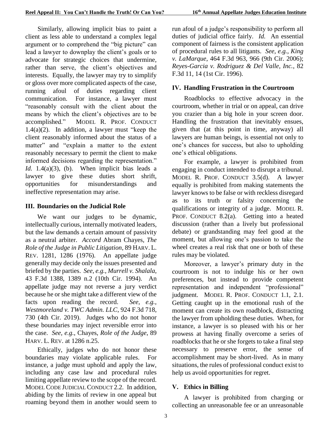Similarly, allowing implicit bias to paint a client as less able to understand a complex legal argument or to comprehend the "big picture" can lead a lawyer to downplay the client's goals or to advocate for strategic choices that undermine, rather than serve, the client's objectives and interests. Equally, the lawyer may try to simplify or gloss over more complicated aspects of the case, running afoul of duties regarding client communication. For instance, a lawyer must "reasonably consult with the client about the means by which the client's objectives are to be accomplished." MODEL R. PROF. CONDUCT 1.4(a)(2). In addition, a lawyer must "keep the client reasonably informed about the status of a matter" and "explain a matter to the extent reasonably necessary to permit the client to make informed decisions regarding the representation." *Id.*  $1.4(a)(3)$ , (b). When implicit bias leads a lawyer to give these duties short shrift, opportunities for misunderstandings and ineffective representation may arise.

#### <span id="page-4-0"></span>**III. Boundaries on the Judicial Role**

We want our judges to be dynamic, intellectually curious, internally motivated leaders, but the law demands a certain amount of passivity as a neutral arbiter. *Accord* Abram Chayes, *The Role of the Judge in Public Litigation*, 89 HARV. L. REV. 1281, 1286 (1976). An appellate judge generally may decide only the issues presented and briefed by the parties. *See, e.g.*, *Murrell v. Shalala*, 43 F.3d 1388, 1389 n.2 (10th Cir. 1994). An appellate judge may not reverse a jury verdict because he or she might take a different view of the facts upon reading the record. *See, e.g.*, *Westmoreland v. TWC Admin. LLC*, 924 F.3d 718, 730 (4th Cir. 2019). Judges who do not honor these boundaries may inject reversible error into the case. *See, e.g.*, Chayes, *Role of the Judge*, 89 HARV. L. REV. at 1286 n.25.

Ethically, judges who do not honor these boundaries may violate applicable rules. For instance, a judge must uphold and apply the law, including any case law and procedural rules limiting appellate review to the scope of the record. MODEL CODE JUDICIAL CONDUCT 2.2. In addition, abiding by the limits of review in one appeal but roaming beyond them in another would seem to

run afoul of a judge's responsibility to perform all duties of judicial office fairly. *Id.* An essential component of fairness is the consistent application of procedural rules to all litigants. *See, e.g.*, *King v. LaMarque*, 464 F.3d 963, 966 (9th Cir. 2006); *Reyes-Garcia v. Rodriguez & Del Valle, Inc.*, 82 F.3d 11, 14 (1st Cir. 1996).

### <span id="page-4-1"></span>**IV. Handling Frustration in the Courtroom**

Roadblocks to effective advocacy in the courtroom, whether in trial or on appeal, can drive you crazier than a big hole in your screen door. Handling the frustration that inevitably ensues, given that (at this point in time, anyway) all lawyers are human beings, is essential not only to one's chances for success, but also to upholding one's ethical obligations.

For example, a lawyer is prohibited from engaging in conduct intended to disrupt a tribunal. MODEL R. PROF. CONDUCT 3.5(d). A lawyer equally is prohibited from making statements the lawyer knows to be false or with reckless disregard as to its truth or falsity concerning the qualifications or integrity of a judge. MODEL R. PROF. CONDUCT 8.2(a). Getting into a heated discussion (rather than a lively but professional debate) or grandstanding may feel good at the moment, but allowing one's passion to take the wheel creates a real risk that one or both of these rules may be violated.

Moreover, a lawyer's primary duty in the courtroom is not to indulge his or her own preferences, but instead to provide competent representation and independent "professional" judgment. MODEL R. PROF. CONDUCT 1.1, 2.1. Getting caught up in the emotional rush of the moment can create its own roadblock, distracting the lawyer from upholding these duties. When, for instance, a lawyer is so pleased with his or her prowess at having finally overcome a series of roadblocks that he or she forgets to take a final step necessary to preserve error, the sense of accomplishment may be short-lived. As in many situations, the rules of professional conduct exist to help us avoid opportunities for regret.

## <span id="page-4-2"></span>**V. Ethics in Billing**

A lawyer is prohibited from charging or collecting an unreasonable fee or an unreasonable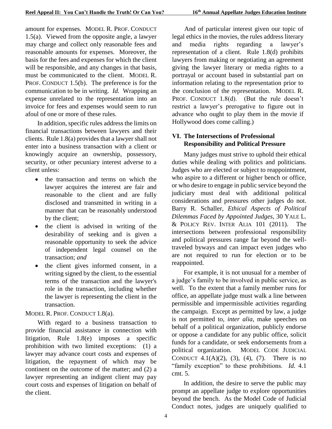amount for expenses. MODEL R. PROF. CONDUCT 1.5(a). Viewed from the opposite angle, a lawyer may charge and collect only reasonable fees and reasonable amounts for expenses. Moreover, the basis for the fees and expenses for which the client will be responsible, and any changes in that basis, must be communicated to the client. MODEL R. PROF. CONDUCT 1.5(b). The preference is for the communication to be in writing. *Id.* Wrapping an expense unrelated to the representation into an invoice for fees and expenses would seem to run afoul of one or more of these rules.

In addition, specific rules address the limits on financial transactions between lawyers and their clients. Rule 1.8(a) provides that a lawyer shall not enter into a business transaction with a client or knowingly acquire an ownership, possessory, security, or other pecuniary interest adverse to a client unless:

- the transaction and terms on which the lawyer acquires the interest are fair and reasonable to the client and are fully disclosed and transmitted in writing in a manner that can be reasonably understood by the client;
- the client is advised in writing of the desirability of seeking and is given a reasonable opportunity to seek the advice of independent legal counsel on the transaction; *and*
- the client gives informed consent, in a writing signed by the client, to the essential terms of the transaction and the lawyer's role in the transaction, including whether the lawyer is representing the client in the transaction.

#### MODEL R. PROF. CONDUCT 1.8(a).

With regard to a business transaction to provide financial assistance in connection with litigation, Rule 1.8(e) imposes a specific prohibition with two limited exceptions: (1) a lawyer may advance court costs and expenses of litigation, the repayment of which may be continent on the outcome of the matter; and (2) a lawyer representing an indigent client may pay court costs and expenses of litigation on behalf of the client.

And of particular interest given our topic of legal ethics in the movies, the rules address literary and media rights regarding a lawyer's representation of a client. Rule 1.8(d) prohibits lawyers from making or negotiating an agreement giving the lawyer literary or media rights to a portrayal or account based in substantial part on information relating to the representation prior to the conclusion of the representation. MODEL R. PROF. CONDUCT 1.8(d). (But the rule doesn't restrict a lawyer's prerogative to figure out in advance who ought to play them in the movie if Hollywood does come calling.)

#### <span id="page-5-0"></span>**VI. The Intersections of Professional Responsibility and Political Pressure**

Many judges must strive to uphold their ethical duties while dealing with politics and politicians. Judges who are elected or subject to reappointment, who aspire to a different or higher bench or office, or who desire to engage in public service beyond the judiciary must deal with additional political considerations and pressures other judges do not. Barry R. Schaller, *Ethical Aspects of Political Dilemmas Faced by Appointed Judges*, 30 YALE L. & POLICY REV. INTER ALIA 101 (2011). The intersections between professional responsibility and political pressures range far beyond the welltraveled byways and can impact even judges who are not required to run for election or to be reappointed.

For example, it is not unusual for a member of a judge's family to be involved in public service, as well. To the extent that a family member runs for office, an appellate judge must walk a line between permissible and impermissible activities regarding the campaign. Except as permitted by law, a judge is not permitted to, *inter alia*, make speeches on behalf of a political organization, publicly endorse or oppose a candidate for any public office, solicit funds for a candidate, or seek endorsements from a political organization. MODEL CODE JUDICIAL CONDUCT 4.1(A)(2), (3), (4), (7). There is no "family exception" to these prohibitions. *Id.* 4.1 cmt. 5.

In addition, the desire to serve the public may prompt an appellate judge to explore opportunities beyond the bench. As the Model Code of Judicial Conduct notes, judges are uniquely qualified to